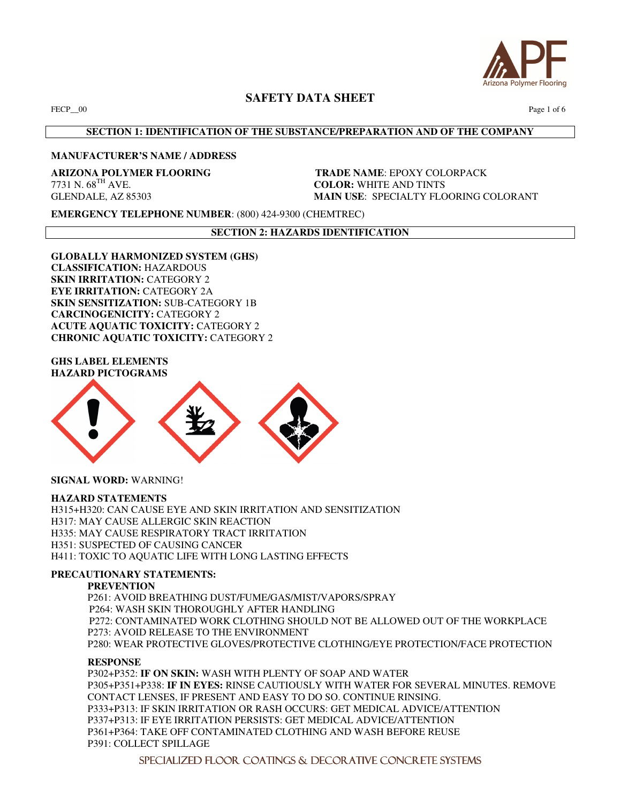

FECP\_00 Page 1 of 6

# **SECTION 1: IDENTIFICATION OF THE SUBSTANCE/PREPARATION AND OF THE COMPANY**

# **MANUFACTURER'S NAME / ADDRESS**

**ARIZONA POLYMER FLOORING TRADE NAME:** EPOXY COLORPACK 7731 N. 68<sup>TH</sup> AVE. **COLOR**: WHITE AND TINTS **COLOR: WHITE AND TINTS** GLENDALE, AZ 85303 **MAIN USE**: SPECIALTY FLOORING COLORANT

**EMERGENCY TELEPHONE NUMBER**: (800) 424-9300 (CHEMTREC)

**SECTION 2: HAZARDS IDENTIFICATION** 

**GLOBALLY HARMONIZED SYSTEM (GHS) CLASSIFICATION:** HAZARDOUS **SKIN IRRITATION: CATEGORY 2 EYE IRRITATION:** CATEGORY 2A **SKIN SENSITIZATION:** SUB-CATEGORY 1B **CARCINOGENICITY:** CATEGORY 2 **ACUTE AQUATIC TOXICITY:** CATEGORY 2 **CHRONIC AQUATIC TOXICITY: CATEGORY 2** 

**GHS LABEL ELEMENTS HAZARD PICTOGRAMS** 



**SIGNAL WORD:** WARNING!

#### **HAZARD STATEMENTS**

H315+H320: CAN CAUSE EYE AND SKIN IRRITATION AND SENSITIZATION H317: MAY CAUSE ALLERGIC SKIN REACTION H335: MAY CAUSE RESPIRATORY TRACT IRRITATION H351: SUSPECTED OF CAUSING CANCER H411: TOXIC TO AQUATIC LIFE WITH LONG LASTING EFFECTS

#### **PRECAUTIONARY STATEMENTS:**

#### **PREVENTION**

P261: AVOID BREATHING DUST/FUME/GAS/MIST/VAPORS/SPRAY P264: WASH SKIN THOROUGHLY AFTER HANDLINGP272: CONTAMINATED WORK CLOTHING SHOULD NOT BE ALLOWED OUT OF THE WORKPLACE P273: AVOID RELEASE TO THE ENVIRONMENT P280: WEAR PROTECTIVE GLOVES/PROTECTIVE CLOTHING/EYE PROTECTION/FACE PROTECTION

#### **RESPONSE**

P302+P352: **IF ON SKIN:** WASH WITH PLENTY OF SOAP AND WATER P305+P351+P338: **IF IN EYES:** RINSE CAUTIOUSLY WITH WATER FOR SEVERAL MINUTES. REMOVE CONTACT LENSES, IF PRESENT AND EASY TO DO SO. CONTINUE RINSING. P333+P313: IF SKIN IRRITATION OR RASH OCCURS: GET MEDICAL ADVICE/ATTENTION P337+P313: IF EYE IRRITATION PERSISTS: GET MEDICAL ADVICE/ATTENTION P361+P364: TAKE OFF CONTAMINATED CLOTHING AND WASH BEFORE REUSE P391: COLLECT SPILLAGE

SPECIALIZED FLOOR COATINGS & DECORATIVE CONCRETE SYSTEMS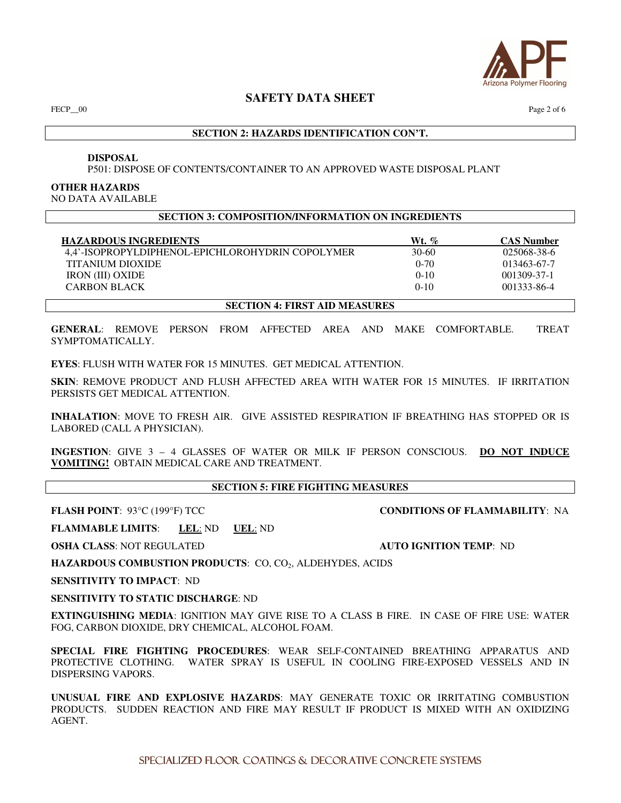

FECP $\_\,\!\!\!00$  Page 2 of 6

# **SECTION 2: HAZARDS IDENTIFICATION CON'T.**

#### **DISPOSAL**

P501: DISPOSE OF CONTENTS/CONTAINER TO AN APPROVED WASTE DISPOSAL PLANT

#### **OTHER HAZARDS**

NO DATA AVAILABLE

#### **SECTION 3: COMPOSITION/INFORMATION ON INGREDIENTS**

| <b>HAZARDOUS INGREDIENTS</b>                     | $Wt, \%$  | <b>CAS Number</b> |
|--------------------------------------------------|-----------|-------------------|
| 4.4'-ISOPROPYLDIPHENOL-EPICHLOROHYDRIN COPOLYMER | $30 - 60$ | 025068-38-6       |
| TITANIUM DIOXIDE                                 | $0 - 70$  | 013463-67-7       |
| <b>IRON</b> (III) OXIDE                          | $0-10$    | 001309-37-1       |
| <b>CARBON BLACK</b>                              | $0-10$    | 001333-86-4       |
|                                                  |           |                   |

**SECTION 4: FIRST AID MEASURES** 

**GENERAL**: REMOVE PERSON FROM AFFECTED AREA AND MAKE COMFORTABLE. TREAT SYMPTOMATICALLY.

**EYES**: FLUSH WITH WATER FOR 15 MINUTES. GET MEDICAL ATTENTION.

**SKIN**: REMOVE PRODUCT AND FLUSH AFFECTED AREA WITH WATER FOR 15 MINUTES. IF IRRITATION PERSISTS GET MEDICAL ATTENTION.

**INHALATION**: MOVE TO FRESH AIR. GIVE ASSISTED RESPIRATION IF BREATHING HAS STOPPED OR IS LABORED (CALL A PHYSICIAN).

**INGESTION**: GIVE 3 – 4 GLASSES OF WATER OR MILK IF PERSON CONSCIOUS. **DO NOT INDUCE VOMITING!** OBTAIN MEDICAL CARE AND TREATMENT.

# **SECTION 5: FIRE FIGHTING MEASURES**

**FLASH POINT**: 93°C (199°F) TCC **CONDITIONS OF FLAMMABILITY**: NA

**FLAMMABLE LIMITS**: **LEL**: ND **UEL**: ND

**OSHA CLASS**: NOT REGULATED **AUTO IGNITION TEMP**: ND

HAZARDOUS COMBUSTION PRODUCTS: CO, CO<sub>2</sub>, ALDEHYDES, ACIDS

**SENSITIVITY TO IMPACT**: ND

**SENSITIVITY TO STATIC DISCHARGE**: ND

**EXTINGUISHING MEDIA**: IGNITION MAY GIVE RISE TO A CLASS B FIRE. IN CASE OF FIRE USE: WATER FOG, CARBON DIOXIDE, DRY CHEMICAL, ALCOHOL FOAM.

**SPECIAL FIRE FIGHTING PROCEDURES**: WEAR SELF-CONTAINED BREATHING APPARATUS AND PROTECTIVE CLOTHING. WATER SPRAY IS USEFUL IN COOLING FIRE-EXPOSED VESSELS AND IN DISPERSING VAPORS.

**UNUSUAL FIRE AND EXPLOSIVE HAZARDS**: MAY GENERATE TOXIC OR IRRITATING COMBUSTION PRODUCTS. SUDDEN REACTION AND FIRE MAY RESULT IF PRODUCT IS MIXED WITH AN OXIDIZING AGENT.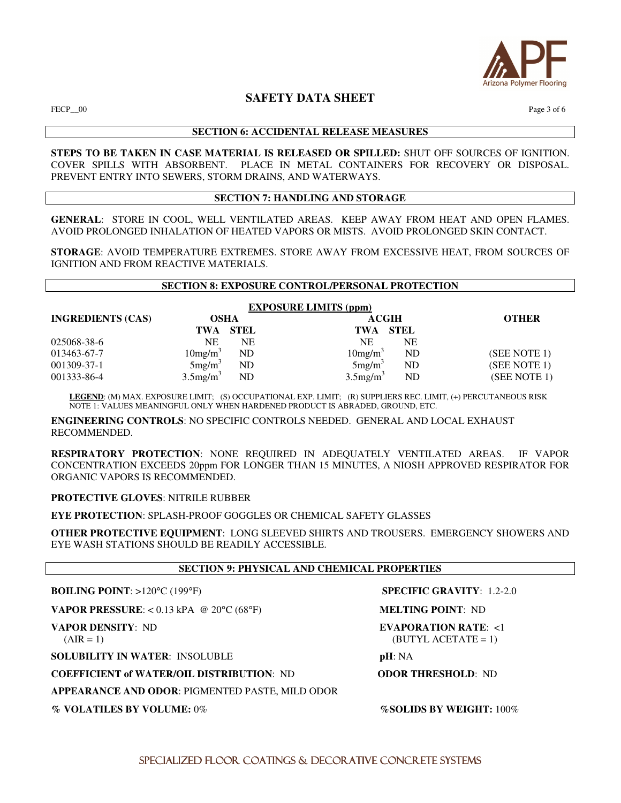

 $FECP\_00$  Page 3 of 6

# **SECTION 6: ACCIDENTAL RELEASE MEASURES**

**STEPS TO BE TAKEN IN CASE MATERIAL IS RELEASED OR SPILLED:** SHUT OFF SOURCES OF IGNITION. COVER SPILLS WITH ABSORBENT. PLACE IN METAL CONTAINERS FOR RECOVERY OR DISPOSAL. PREVENT ENTRY INTO SEWERS, STORM DRAINS, AND WATERWAYS.

# **SECTION 7: HANDLING AND STORAGE**

**GENERAL**: STORE IN COOL, WELL VENTILATED AREAS. KEEP AWAY FROM HEAT AND OPEN FLAMES. AVOID PROLONGED INHALATION OF HEATED VAPORS OR MISTS. AVOID PROLONGED SKIN CONTACT.

**STORAGE**: AVOID TEMPERATURE EXTREMES. STORE AWAY FROM EXCESSIVE HEAT, FROM SOURCES OF IGNITION AND FROM REACTIVE MATERIALS.

#### **SECTION 8: EXPOSURE CONTROL/PERSONAL PROTECTION**

**EXPOSURE LIMITS (ppm) INGREDIENTS (CAS) OSHA ACGIH OTHER TWA STEL TWA STEL**   $025068-38-6$  NE NE NE NE NE<br>  $013463-67-7$   $10mg/m<sup>3</sup>$  ND  $10mg/m<sup>3</sup>$  ND  $013463-67-7$  10mg/m<sup>3</sup>  $10 \text{mg/m}^3$  ND (SEE NOTE 1) 001309-37-1  $5mg/m<sup>3</sup>$  $ND$  5mg/m<sup>3</sup> ND (SEE NOTE 1) 001333-86-4  $3.5 \text{mg/m}^3$  ND  $3.5 \text{mg/m}^3$ ND (SEE NOTE 1)

 **LEGEND**: (M) MAX. EXPOSURE LIMIT; (S) OCCUPATIONAL EXP. LIMIT; (R) SUPPLIERS REC. LIMIT, (+) PERCUTANEOUS RISK NOTE 1: VALUES MEANINGFUL ONLY WHEN HARDENED PRODUCT IS ABRADED, GROUND, ETC.

**ENGINEERING CONTROLS**: NO SPECIFIC CONTROLS NEEDED. GENERAL AND LOCAL EXHAUST RECOMMENDED.

**RESPIRATORY PROTECTION**: NONE REQUIRED IN ADEQUATELY VENTILATED AREAS. IF VAPOR CONCENTRATION EXCEEDS 20ppm FOR LONGER THAN 15 MINUTES, A NIOSH APPROVED RESPIRATOR FOR ORGANIC VAPORS IS RECOMMENDED.

**PROTECTIVE GLOVES**: NITRILE RUBBER

**EYE PROTECTION**: SPLASH-PROOF GOGGLES OR CHEMICAL SAFETY GLASSES

**OTHER PROTECTIVE EQUIPMENT**: LONG SLEEVED SHIRTS AND TROUSERS. EMERGENCY SHOWERS AND EYE WASH STATIONS SHOULD BE READILY ACCESSIBLE.

| <b>SECTION 9: PHYSICAL AND CHEMICAL PROPERTIES</b>         |                                                 |  |
|------------------------------------------------------------|-------------------------------------------------|--|
| <b>BOILING POINT:</b> $>120^{\circ}C$ (199°F)              | <b>SPECIFIC GRAVITY:</b> $1.2-2.0$              |  |
| <b>VAPOR PRESSURE:</b> < $0.13$ kPA @ $20^{\circ}C$ (68°F) | <b>MELTING POINT: ND</b>                        |  |
| <b>VAPOR DENSITY: ND</b><br>$(AIR = 1)$                    | EVAPORATION RATE: $<1$<br>$(BUTYL ACETATE = 1)$ |  |
| <b>SOLUBILITY IN WATER: INSOLUBLE</b>                      | pH: NA                                          |  |
| <b>COEFFICIENT of WATER/OIL DISTRIBUTION: ND</b>           | <b>ODOR THRESHOLD: ND</b>                       |  |
| APPEARANCE AND ODOR: PIGMENTED PASTE, MILD ODOR            |                                                 |  |
| % VOLATILES BY VOLUME: 0%                                  | <b>%SOLIDS BY WEIGHT: 100%</b>                  |  |
|                                                            |                                                 |  |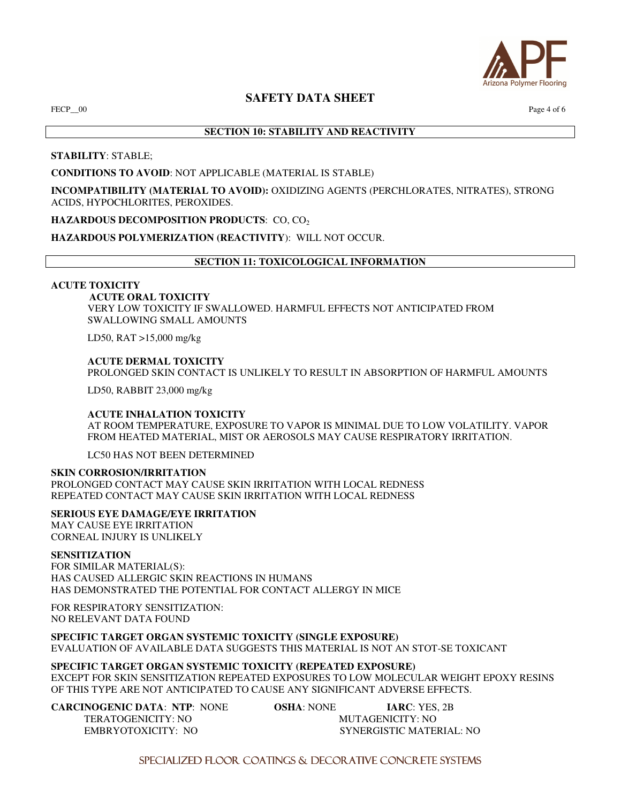

 $FECP\_00$   $Page 4 of 6$ 

# **SECTION 10: STABILITY AND REACTIVITY**

**STABILITY**: STABLE;

# **CONDITIONS TO AVOID**: NOT APPLICABLE (MATERIAL IS STABLE)

**INCOMPATIBILITY (MATERIAL TO AVOID):** OXIDIZING AGENTS (PERCHLORATES, NITRATES), STRONG ACIDS, HYPOCHLORITES, PEROXIDES.

# **HAZARDOUS DECOMPOSITION PRODUCTS: CO, CO2**

# **HAZARDOUS POLYMERIZATION (REACTIVITY**): WILL NOT OCCUR.

# **SECTION 11: TOXICOLOGICAL INFORMATION**

#### **ACUTE TOXICITY**

 **ACUTE ORAL TOXICITY**  VERY LOW TOXICITY IF SWALLOWED. HARMFUL EFFECTS NOT ANTICIPATED FROM SWALLOWING SMALL AMOUNTS

LD50, RAT >15,000 mg/kg

**ACUTE DERMAL TOXICITY**  PROLONGED SKIN CONTACT IS UNLIKELY TO RESULT IN ABSORPTION OF HARMFUL AMOUNTS

LD50, RABBIT 23,000 mg/kg

#### **ACUTE INHALATION TOXICITY**

AT ROOM TEMPERATURE, EXPOSURE TO VAPOR IS MINIMAL DUE TO LOW VOLATILITY. VAPOR FROM HEATED MATERIAL, MIST OR AEROSOLS MAY CAUSE RESPIRATORY IRRITATION.

LC50 HAS NOT BEEN DETERMINED

#### **SKIN CORROSION/IRRITATION**

PROLONGED CONTACT MAY CAUSE SKIN IRRITATION WITH LOCAL REDNESS REPEATED CONTACT MAY CAUSE SKIN IRRITATION WITH LOCAL REDNESS

**SERIOUS EYE DAMAGE/EYE IRRITATION** 

MAY CAUSE EYE IRRITATION CORNEAL INJURY IS UNLIKELY

#### **SENSITIZATION**

FOR SIMILAR MATERIAL(S): HAS CAUSED ALLERGIC SKIN REACTIONS IN HUMANS HAS DEMONSTRATED THE POTENTIAL FOR CONTACT ALLERGY IN MICE

FOR RESPIRATORY SENSITIZATION: NO RELEVANT DATA FOUND

**SPECIFIC TARGET ORGAN SYSTEMIC TOXICITY (SINGLE EXPOSURE)**  EVALUATION OF AVAILABLE DATA SUGGESTS THIS MATERIAL IS NOT AN STOT-SE TOXICANT

#### **SPECIFIC TARGET ORGAN SYSTEMIC TOXICITY (REPEATED EXPOSURE)**

EXCEPT FOR SKIN SENSITIZATION REPEATED EXPOSURES TO LOW MOLECULAR WEIGHT EPOXY RESINS OF THIS TYPE ARE NOT ANTICIPATED TO CAUSE ANY SIGNIFICANT ADVERSE EFFECTS.

**CARCINOGENIC DATA**: **NTP**: NONE **OSHA**: NONE **IARC**: YES, 2B

TERATOGENICITY: NO **MUTAGENICITY: NO** EMBRYOTOXICITY: NO SYNERGISTIC MATERIAL: NO

SPECIALIZED FLOOR COATINGS & DECORATIVE CONCRETE SYSTEMS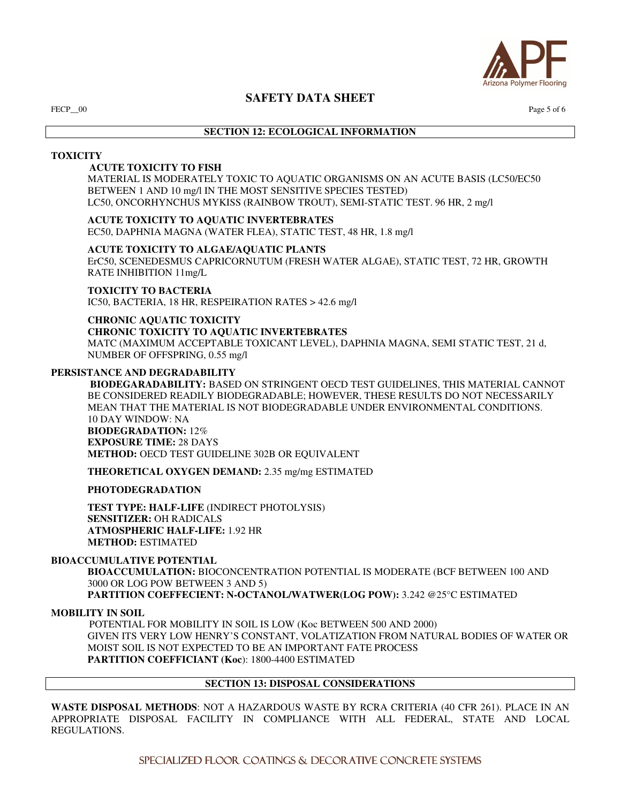

FECP $\_\,\!\!\!00$  Page 5 of 6

# **SECTION 12: ECOLOGICAL INFORMATION**

#### **TOXICITY**

## **ACUTE TOXICITY TO FISH**

MATERIAL IS MODERATELY TOXIC TO AQUATIC ORGANISMS ON AN ACUTE BASIS (LC50/EC50 BETWEEN 1 AND 10 mg/l IN THE MOST SENSITIVE SPECIES TESTED) LC50, ONCORHYNCHUS MYKISS (RAINBOW TROUT), SEMI-STATIC TEST. 96 HR, 2 mg/l

# **ACUTE TOXICITY TO AQUATIC INVERTEBRATES**

EC50, DAPHNIA MAGNA (WATER FLEA), STATIC TEST, 48 HR, 1.8 mg/l

# **ACUTE TOXICITY TO ALGAE/AQUATIC PLANTS**

ErC50, SCENEDESMUS CAPRICORNUTUM (FRESH WATER ALGAE), STATIC TEST, 72 HR, GROWTH RATE INHIBITION 11mg/L

#### **TOXICITY TO BACTERIA**

IC50, BACTERIA, 18 HR, RESPEIRATION RATES > 42.6 mg/l

# **CHRONIC AQUATIC TOXICITY CHRONIC TOXICITY TO AQUATIC INVERTEBRATES**

MATC (MAXIMUM ACCEPTABLE TOXICANT LEVEL), DAPHNIA MAGNA, SEMI STATIC TEST, 21 d, NUMBER OF OFFSPRING, 0.55 mg/l

# **PERSISTANCE AND DEGRADABILITY**

 **BIODEGARADABILITY:** BASED ON STRINGENT OECD TEST GUIDELINES, THIS MATERIAL CANNOT BE CONSIDERED READILY BIODEGRADABLE; HOWEVER, THESE RESULTS DO NOT NECESSARILY MEAN THAT THE MATERIAL IS NOT BIODEGRADABLE UNDER ENVIRONMENTAL CONDITIONS. 10 DAY WINDOW: NA **BIODEGRADATION:** 12% **EXPOSURE TIME:** 28 DAYS **METHOD:** OECD TEST GUIDELINE 302B OR EQUIVALENT

**THEORETICAL OXYGEN DEMAND:** 2.35 mg/mg ESTIMATED

**PHOTODEGRADATION** 

**TEST TYPE: HALF-LIFE** (INDIRECT PHOTOLYSIS) **SENSITIZER:** OH RADICALS **ATMOSPHERIC HALF-LIFE:** 1.92 HR **METHOD:** ESTIMATED

#### **BIOACCUMULATIVE POTENTIAL**

**BIOACCUMULATION:** BIOCONCENTRATION POTENTIAL IS MODERATE (BCF BETWEEN 100 AND 3000 OR LOG POW BETWEEN 3 AND 5) **PARTITION COEFFECIENT: N-OCTANOL/WATWER(LOG POW):** 3.242 @25°C ESTIMATED

#### **MOBILITY IN SOIL**

 POTENTIAL FOR MOBILITY IN SOIL IS LOW (Koc BETWEEN 500 AND 2000) GIVEN ITS VERY LOW HENRY'S CONSTANT, VOLATIZATION FROM NATURAL BODIES OF WATER OR MOIST SOIL IS NOT EXPECTED TO BE AN IMPORTANT FATE PROCESS **PARTITION COEFFICIANT (Koc**): 1800-4400 ESTIMATED

# **SECTION 13: DISPOSAL CONSIDERATIONS**

**WASTE DISPOSAL METHODS**: NOT A HAZARDOUS WASTE BY RCRA CRITERIA (40 CFR 261). PLACE IN AN APPROPRIATE DISPOSAL FACILITY IN COMPLIANCE WITH ALL FEDERAL, STATE AND LOCAL REGULATIONS.